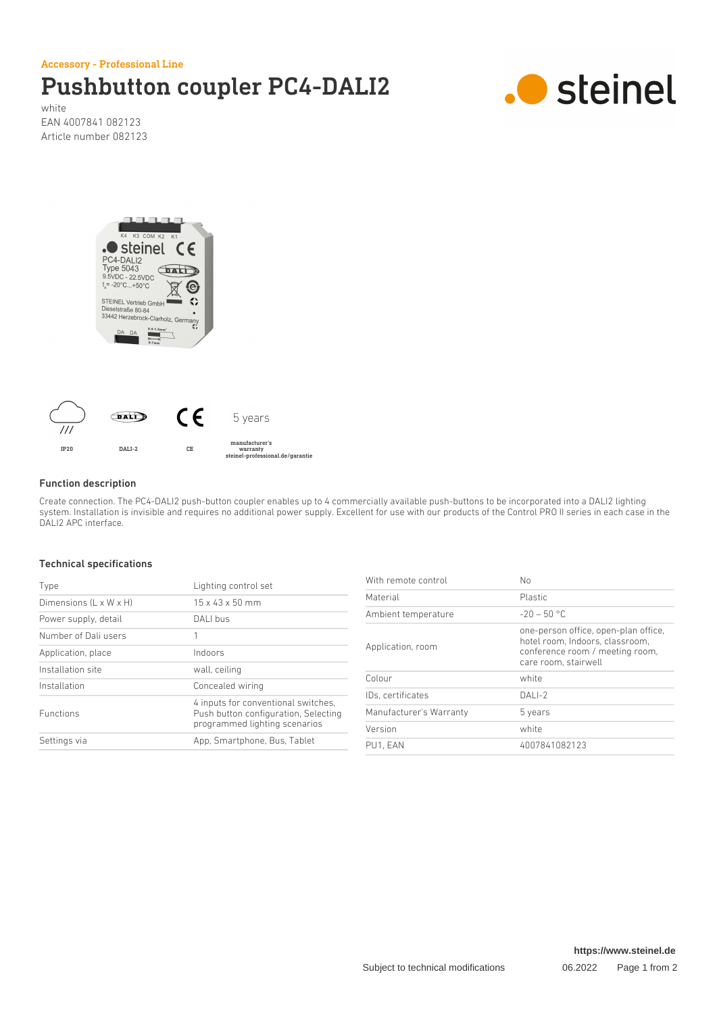Accessory - Professional Line

## Pushbutton coupler PC4-DALI2



white EAN 4007841 082123 Article number 082123





### Function description

Create connection. The PC4-DALI2 push-button coupler enables up to 4 commercially available push-buttons to be incorporated into a DALI2 lighting system. Installation is invisible and requires no additional power supply. Excellent for use with our products of the Control PRO II series in each case in the DALI2 APC interface.

#### Technical specifications

| Type                   | Lighting control set                                                                                         |
|------------------------|--------------------------------------------------------------------------------------------------------------|
| Dimensions (L x W x H) | $15 \times 43 \times 50$ mm                                                                                  |
| Power supply, detail   | DALI bus                                                                                                     |
| Number of Dali users   | 1                                                                                                            |
| Application, place     | Indoors                                                                                                      |
| Installation site      | wall, ceiling                                                                                                |
| Installation           | Concealed wiring                                                                                             |
| <b>Eunctions</b>       | 4 inputs for conventional switches.<br>Push button configuration, Selecting<br>programmed lighting scenarios |
| Settings via           | App, Smartphone, Bus, Tablet                                                                                 |

| With remote control     | No                                                                                                                                 |
|-------------------------|------------------------------------------------------------------------------------------------------------------------------------|
| Material                | Plastic                                                                                                                            |
| Ambient temperature     | $-20 - 50$ °C                                                                                                                      |
| Application, room       | one-person office, open-plan office,<br>hotel room. Indoors, classroom.<br>conference room / meeting room,<br>care room, stairwell |
| Colour                  | white                                                                                                                              |
| IDs. certificates       | $DALI-2$                                                                                                                           |
| Manufacturer's Warranty | 5 years                                                                                                                            |
| Version                 | white                                                                                                                              |
| PU1. EAN                | 4007841082123                                                                                                                      |